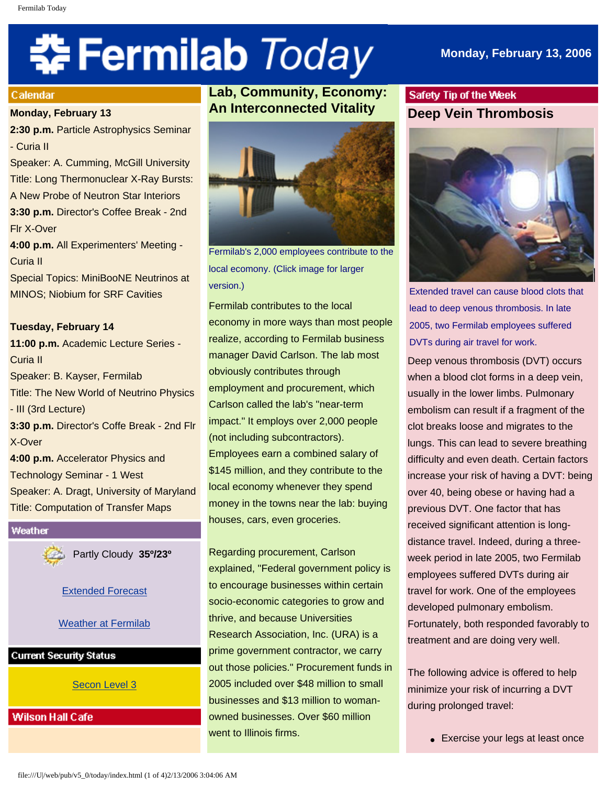# **‡⊱ Fermilab** *Today*

# **Monday, February 13, 2006**

#### Calendar

#### **Monday, February 13**

**2:30 p.m.** Particle Astrophysics Seminar - Curia II

Speaker: A. Cumming, McGill University Title: Long Thermonuclear X-Ray Bursts: A New Probe of Neutron Star Interiors **3:30 p.m.** Director's Coffee Break - 2nd Flr X-Over

**4:00 p.m.** All Experimenters' Meeting - Curia II

Special Topics: MiniBooNE Neutrinos at MINOS; Niobium for SRF Cavities

#### **Tuesday, February 14**

**11:00 p.m.** Academic Lecture Series - Curia II Speaker: B. Kayser, Fermilab Title: The New World of Neutrino Physics - III (3rd Lecture) **3:30 p.m.** Director's Coffe Break - 2nd Flr X-Over **4:00 p.m.** Accelerator Physics and Technology Seminar - 1 West Speaker: A. Dragt, University of Maryland

Title: Computation of Transfer Maps

#### Weather

Partly Cloudy **35º/23º**

[Extended Forecast](http://www.srh.noaa.gov/data/forecasts/ILZ012.php?warncounty=ILC089&city=Batavia)

# [Weather at Fermilab](http://www-esh.fnal.gov/pls/default/weather.html)

## **Current Security Status**

[Secon Level 3](http://www.fnal.gov/pub/about/public_affairs/currentstatus.html)

**Wilson Hall Cafe** 

# **Lab, Community, Economy: An Interconnected Vitality**



Fermilab's 2,000 employees contribute to the local ecomony. (Click image for larger version.)

Fermilab contributes to the local economy in more ways than most people realize, according to Fermilab business manager David Carlson. The lab most obviously contributes through employment and procurement, which Carlson called the lab's "near-term impact." It employs over 2,000 people (not including subcontractors). Employees earn a combined salary of \$145 million, and they contribute to the local economy whenever they spend money in the towns near the lab: buying houses, cars, even groceries.

Regarding procurement, Carlson explained, "Federal government policy is to encourage businesses within certain socio-economic categories to grow and thrive, and because Universities Research Association, Inc. (URA) is a prime government contractor, we carry out those policies." Procurement funds in 2005 included over \$48 million to small businesses and \$13 million to womanowned businesses. Over \$60 million went to Illinois firms.

# Safety Tip of the Week **Deep Vein Thrombosis**



Extended travel can cause blood clots that lead to deep venous thrombosis. In late 2005, two Fermilab employees suffered DVTs during air travel for work.

Deep venous thrombosis (DVT) occurs when a blood clot forms in a deep vein, usually in the lower limbs. Pulmonary embolism can result if a fragment of the clot breaks loose and migrates to the lungs. This can lead to severe breathing difficulty and even death. Certain factors increase your risk of having a DVT: being over 40, being obese or having had a previous DVT. One factor that has received significant attention is longdistance travel. Indeed, during a threeweek period in late 2005, two Fermilab employees suffered DVTs during air travel for work. One of the employees developed pulmonary embolism. Fortunately, both responded favorably to treatment and are doing very well.

The following advice is offered to help minimize your risk of incurring a DVT during prolonged travel:

• Exercise your legs at least once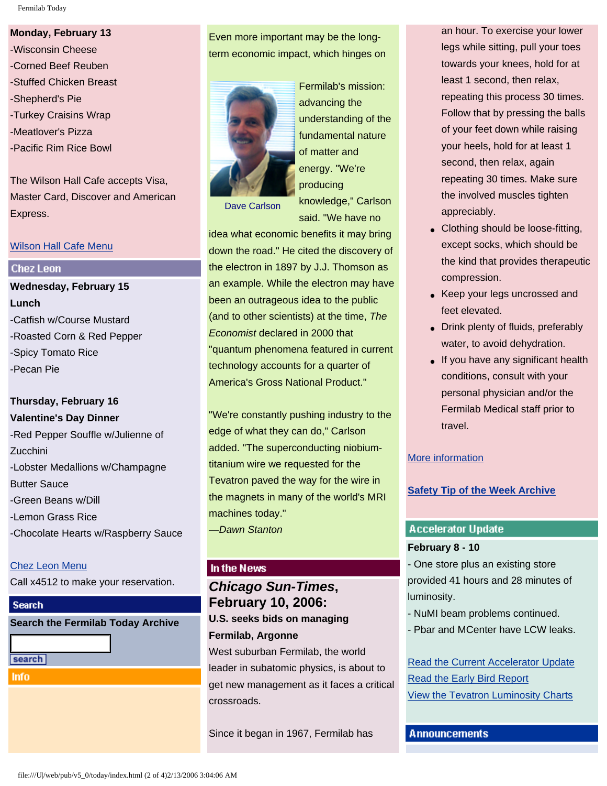Fermilab Today

# **Monday, February 13**

-Wisconsin Cheese -Corned Beef Reuben -Stuffed Chicken Breast -Shepherd's Pie -Turkey Craisins Wrap -Meatlover's Pizza -Pacific Rim Rice Bowl

The Wilson Hall Cafe accepts Visa, Master Card, Discover and American Express.

## [Wilson Hall Cafe Menu](http://lss.fnal.gov/cafe/)

## **Chez Leon**

**Wednesday, February 15 Lunch** -Catfish w/Course Mustard -Roasted Corn & Red Pepper -Spicy Tomato Rice -Pecan Pie

# **Thursday, February 16 Valentine's Day Dinner**

-Red Pepper Souffle w/Julienne of Zucchini -Lobster Medallions w/Champagne Butter Sauce -Green Beans w/Dill -Lemon Grass Rice -Chocolate Hearts w/Raspberry Sauce

# [Chez Leon Menu](http://lss.fnal.gov/chezleon/index.html)

Call x4512 to make your reservation.

# **Search**

| <b>Search the Fermilab Today Archive</b> |  |  |
|------------------------------------------|--|--|
|                                          |  |  |

search

**Info** 

# Even more important may be the longterm economic impact, which hinges on



Fermilab's mission: advancing the understanding of the fundamental nature of matter and energy. "We're producing knowledge," Carlson said. "We have no

Dave Carlson

idea what economic benefits it may bring down the road." He cited the discovery of the electron in 1897 by J.J. Thomson as an example. While the electron may have been an outrageous idea to the public (and to other scientists) at the time, *The Economist* declared in 2000 that "quantum phenomena featured in current technology accounts for a quarter of America's Gross National Product."

"We're constantly pushing industry to the edge of what they can do," Carlson added. "The superconducting niobiumtitanium wire we requested for the Tevatron paved the way for the wire in the magnets in many of the world's MRI machines today." *—Dawn Stanton*

# In the News

# *Chicago Sun-Times***, February 10, 2006: U.S. seeks bids on managing Fermilab, Argonne** West suburban Fermilab, the world leader in subatomic physics, is about to get new management as it faces a critical crossroads.

Since it began in 1967, Fermilab has

an hour. To exercise your lower legs while sitting, pull your toes towards your knees, hold for at least 1 second, then relax, repeating this process 30 times. Follow that by pressing the balls of your feet down while raising your heels, hold for at least 1 second, then relax, again repeating 30 times. Make sure the involved muscles tighten appreciably.

- Clothing should be loose-fitting, except socks, which should be the kind that provides therapeutic compression.
- Keep your legs uncrossed and feet elevated.
- Drink plenty of fluids, preferably water, to avoid dehydration.
- If you have any significant health conditions, consult with your personal physician and/or the Fermilab Medical staff prior to travel.

# [More information](http://hcd2.bupa.co.uk/fact_sheets/mosby_factsheets/Deep_Vein_Thrombosis.html)

# **[Safety Tip of the Week Archive](http://www.fnal.gov/pub/today/safety/index.html)**

# **Accelerator Update**

## **February 8 - 10**

- One store plus an existing store provided 41 hours and 28 minutes of luminosity.

- NuMI beam problems continued.
- Pbar and MCenter have LCW leaks.

[Read the Current Accelerator Update](http://www.fnal.gov/pub/news06/update.html) [Read the Early Bird Report](http://www-bd.fnal.gov/earlybird/ebird.html) [View the Tevatron Luminosity Charts](http://www.fnal.gov/pub/now/tevlum.html)

**Announcements**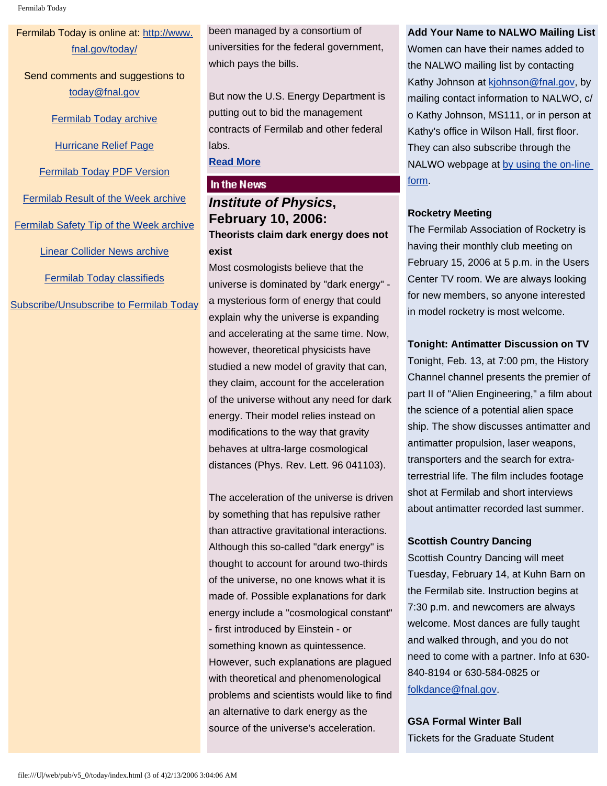Fermilab Today

Fermilab Today is online at: [http://www.](http://www.fnal.gov/today/) [fnal.gov/today/](http://www.fnal.gov/today/)

Send comments and suggestions to [today@fnal.gov](mailto:today@fnal.gov)

[Fermilab Today archive](http://www.fnal.gov/pub/today/archive.html)

[Hurricane Relief Page](http://www.fnal.gov/pub/today/katrina_relief.html)

[Fermilab Today PDF Version](http://www.fnal.gov/pub/today/archive.html)

[Fermilab Result of the Week archive](http://www.fnal.gov/pub/today/resultoftheweek/index.html)

[Fermilab Safety Tip of the Week archive](http://www.fnal.gov/pub/today/safety/index.html)

[Linear Collider News archive](http://www.fnal.gov/pub/today/linearcollider/index.html)

[Fermilab Today classifieds](http://www.fnal.gov/pub/today/classifieds.html)

[Subscribe/Unsubscribe to Fermilab Today](http://www.fnal.gov/pub/today/subscription.html)

been managed by a consortium of universities for the federal government, which pays the bills.

But now the U.S. Energy Department is putting out to bid the management contracts of Fermilab and other federal labs.

# **[Read More](http://www.suntimes.com/output/news/cst-nws-fermilab10.html)**

#### In the News

# *Institute of Physics***, February 10, 2006: Theorists claim dark energy does not exist**

Most cosmologists believe that the universe is dominated by "dark energy" a mysterious form of energy that could explain why the universe is expanding and accelerating at the same time. Now, however, theoretical physicists have studied a new model of gravity that can, they claim, account for the acceleration of the universe without any need for dark energy. Their model relies instead on modifications to the way that gravity behaves at ultra-large cosmological distances (Phys. Rev. Lett. 96 041103).

The acceleration of the universe is driven by something that has repulsive rather than attractive gravitational interactions. Although this so-called "dark energy" is thought to account for around two-thirds of the universe, no one knows what it is made of. Possible explanations for dark energy include a "cosmological constant" - first introduced by Einstein - or something known as quintessence. However, such explanations are plagued with theoretical and phenomenological problems and scientists would like to find an alternative to dark energy as the source of the universe's acceleration.

### **Add Your Name to NALWO Mailing List**

Women can have their names added to the NALWO mailing list by contacting Kathy Johnson at [kjohnson@fnal.gov,](mailto:kjohnson@fnal.gov) by mailing contact information to NALWO, c/ o Kathy Johnson, MS111, or in person at Kathy's office in Wilson Hall, first floor. They can also subscribe through the NALWO webpage at [by using the on-line](http://www.fnal.gov/orgs/nalwo/)  [form.](http://www.fnal.gov/orgs/nalwo/)

## **Rocketry Meeting**

The Fermilab Association of Rocketry is having their monthly club meeting on February 15, 2006 at 5 p.m. in the Users Center TV room. We are always looking for new members, so anyone interested in model rocketry is most welcome.

## **Tonight: Antimatter Discussion on TV**

Tonight, Feb. 13, at 7:00 pm, the History Channel channel presents the premier of part II of "Alien Engineering," a film about the science of a potential alien space ship. The show discusses antimatter and antimatter propulsion, laser weapons, transporters and the search for extraterrestrial life. The film includes footage shot at Fermilab and short interviews about antimatter recorded last summer.

#### **Scottish Country Dancing**

Scottish Country Dancing will meet Tuesday, February 14, at Kuhn Barn on the Fermilab site. Instruction begins at 7:30 p.m. and newcomers are always welcome. Most dances are fully taught and walked through, and you do not need to come with a partner. Info at 630- 840-8194 or 630-584-0825 or [folkdance@fnal.gov](mailto:folkdance@fnal.gov).

**GSA Formal Winter Ball** Tickets for the Graduate Student